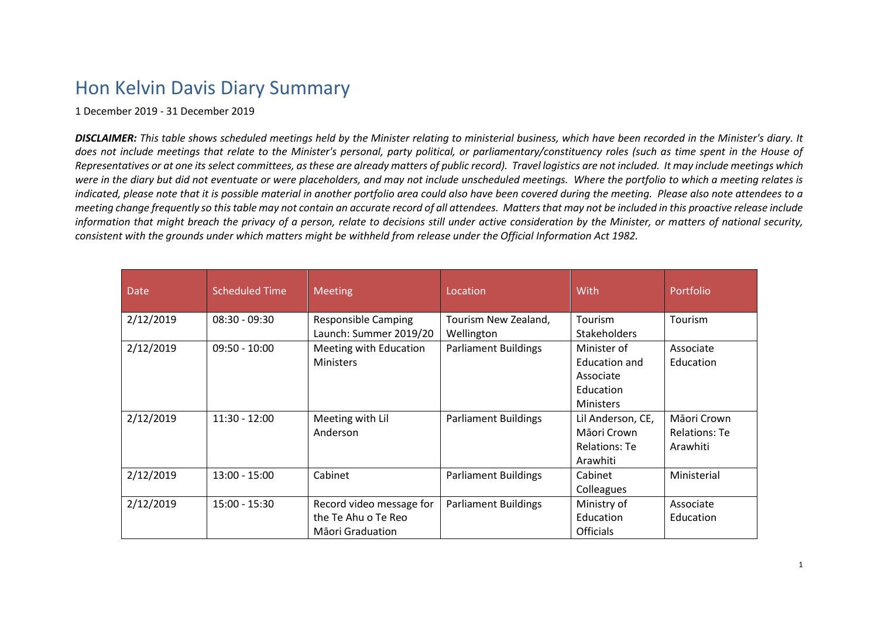## Hon Kelvin Davis Diary Summary

1 December 2019 - 31 December 2019

*DISCLAIMER: This table shows scheduled meetings held by the Minister relating to ministerial business, which have been recorded in the Minister's diary. It does not include meetings that relate to the Minister's personal, party political, or parliamentary/constituency roles (such as time spent in the House of Representatives or at one its select committees, as these are already matters of public record). Travel logistics are not included. It may include meetings which were in the diary but did not eventuate or were placeholders, and may not include unscheduled meetings. Where the portfolio to which a meeting relates is indicated, please note that it is possible material in another portfolio area could also have been covered during the meeting. Please also note attendees to a meeting change frequently so this table may not contain an accurate record of all attendees. Matters that may not be included in this proactive release include information that might breach the privacy of a person, relate to decisions still under active consideration by the Minister, or matters of national security, consistent with the grounds under which matters might be withheld from release under the Official Information Act 1982.*

| <b>Date</b> | <b>Scheduled Time</b> | <b>Meeting</b>                                                      | Location                           | With                                                                       | Portfolio                                       |
|-------------|-----------------------|---------------------------------------------------------------------|------------------------------------|----------------------------------------------------------------------------|-------------------------------------------------|
| 2/12/2019   | $08:30 - 09:30$       | <b>Responsible Camping</b><br>Launch: Summer 2019/20                | Tourism New Zealand,<br>Wellington | Tourism<br><b>Stakeholders</b>                                             | Tourism                                         |
| 2/12/2019   | $09:50 - 10:00$       | Meeting with Education<br><b>Ministers</b>                          | <b>Parliament Buildings</b>        | Minister of<br>Education and<br>Associate<br>Education<br><b>Ministers</b> | Associate<br>Education                          |
| 2/12/2019   | $11:30 - 12:00$       | Meeting with Lil<br>Anderson                                        | <b>Parliament Buildings</b>        | Lil Anderson, CE,<br>Māori Crown<br>Relations: Te<br>Arawhiti              | Māori Crown<br><b>Relations: Te</b><br>Arawhiti |
| 2/12/2019   | $13:00 - 15:00$       | Cabinet                                                             | <b>Parliament Buildings</b>        | Cabinet<br>Colleagues                                                      | Ministerial                                     |
| 2/12/2019   | $15:00 - 15:30$       | Record video message for<br>the Te Ahu o Te Reo<br>Māori Graduation | <b>Parliament Buildings</b>        | Ministry of<br>Education<br><b>Officials</b>                               | Associate<br>Education                          |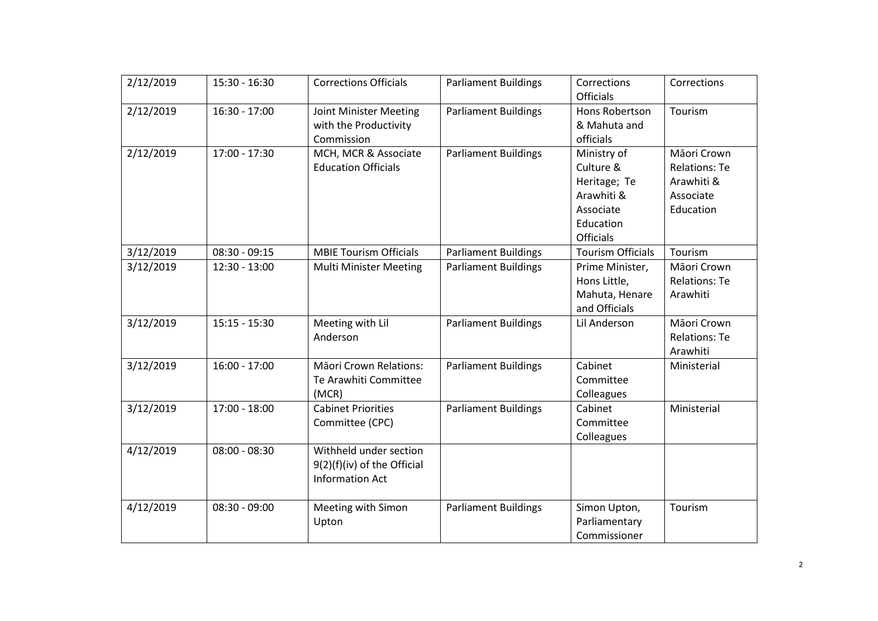| 2/12/2019 | $15:30 - 16:30$ | <b>Corrections Officials</b>                                                    | <b>Parliament Buildings</b> | Corrections<br><b>Officials</b>                                                               | Corrections                                                                 |
|-----------|-----------------|---------------------------------------------------------------------------------|-----------------------------|-----------------------------------------------------------------------------------------------|-----------------------------------------------------------------------------|
| 2/12/2019 | $16:30 - 17:00$ | Joint Minister Meeting<br>with the Productivity<br>Commission                   | <b>Parliament Buildings</b> | Hons Robertson<br>& Mahuta and<br>officials                                                   | Tourism                                                                     |
| 2/12/2019 | $17:00 - 17:30$ | MCH, MCR & Associate<br><b>Education Officials</b>                              | <b>Parliament Buildings</b> | Ministry of<br>Culture &<br>Heritage; Te<br>Arawhiti &<br>Associate<br>Education<br>Officials | Māori Crown<br><b>Relations: Te</b><br>Arawhiti &<br>Associate<br>Education |
| 3/12/2019 | $08:30 - 09:15$ | <b>MBIE Tourism Officials</b>                                                   | <b>Parliament Buildings</b> | <b>Tourism Officials</b>                                                                      | Tourism                                                                     |
| 3/12/2019 | $12:30 - 13:00$ | <b>Multi Minister Meeting</b>                                                   | <b>Parliament Buildings</b> | Prime Minister,<br>Hons Little,<br>Mahuta, Henare<br>and Officials                            | Māori Crown<br><b>Relations: Te</b><br>Arawhiti                             |
| 3/12/2019 | $15:15 - 15:30$ | Meeting with Lil<br>Anderson                                                    | <b>Parliament Buildings</b> | Lil Anderson                                                                                  | Māori Crown<br><b>Relations: Te</b><br>Arawhiti                             |
| 3/12/2019 | $16:00 - 17:00$ | <b>Māori Crown Relations:</b><br>Te Arawhiti Committee<br>(MCR)                 | <b>Parliament Buildings</b> | Cabinet<br>Committee<br>Colleagues                                                            | Ministerial                                                                 |
| 3/12/2019 | 17:00 - 18:00   | <b>Cabinet Priorities</b><br>Committee (CPC)                                    | <b>Parliament Buildings</b> | Cabinet<br>Committee<br>Colleagues                                                            | Ministerial                                                                 |
| 4/12/2019 | $08:00 - 08:30$ | Withheld under section<br>9(2)(f)(iv) of the Official<br><b>Information Act</b> |                             |                                                                                               |                                                                             |
| 4/12/2019 | $08:30 - 09:00$ | Meeting with Simon<br>Upton                                                     | <b>Parliament Buildings</b> | Simon Upton,<br>Parliamentary<br>Commissioner                                                 | Tourism                                                                     |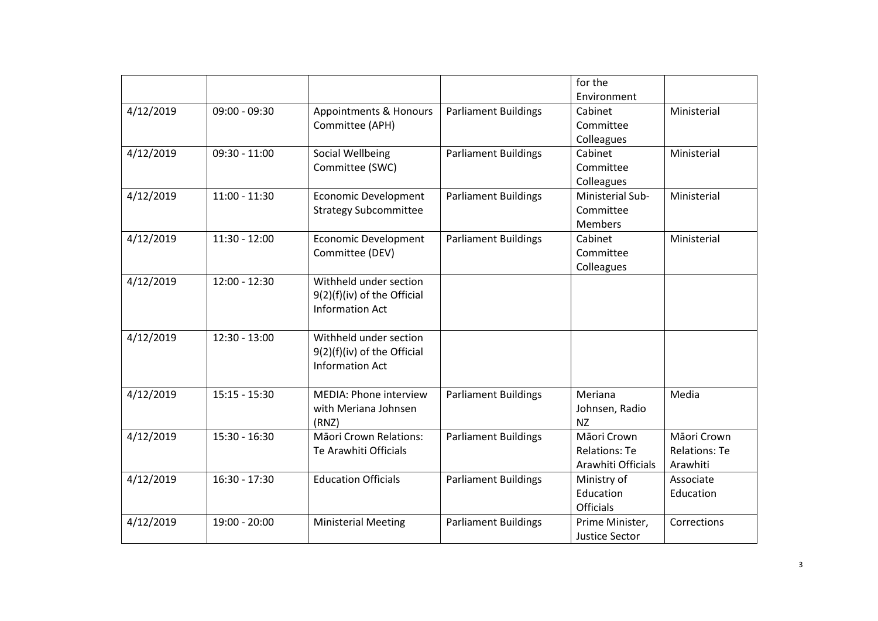|           |                 |                               |                             | for the<br>Environment |                      |
|-----------|-----------------|-------------------------------|-----------------------------|------------------------|----------------------|
| 4/12/2019 | $09:00 - 09:30$ | Appointments & Honours        | <b>Parliament Buildings</b> | Cabinet                | Ministerial          |
|           |                 | Committee (APH)               |                             | Committee              |                      |
|           |                 |                               |                             | Colleagues             |                      |
| 4/12/2019 | $09:30 - 11:00$ | Social Wellbeing              | <b>Parliament Buildings</b> | Cabinet                | Ministerial          |
|           |                 | Committee (SWC)               |                             | Committee              |                      |
|           |                 |                               |                             | Colleagues             |                      |
| 4/12/2019 | $11:00 - 11:30$ | <b>Economic Development</b>   | <b>Parliament Buildings</b> | Ministerial Sub-       | Ministerial          |
|           |                 | <b>Strategy Subcommittee</b>  |                             | Committee              |                      |
|           |                 |                               |                             | <b>Members</b>         |                      |
| 4/12/2019 | $11:30 - 12:00$ | <b>Economic Development</b>   | <b>Parliament Buildings</b> | Cabinet                | Ministerial          |
|           |                 | Committee (DEV)               |                             | Committee              |                      |
|           |                 |                               |                             | Colleagues             |                      |
| 4/12/2019 | $12:00 - 12:30$ | Withheld under section        |                             |                        |                      |
|           |                 | 9(2)(f)(iv) of the Official   |                             |                        |                      |
|           |                 | <b>Information Act</b>        |                             |                        |                      |
|           |                 |                               |                             |                        |                      |
| 4/12/2019 | $12:30 - 13:00$ | Withheld under section        |                             |                        |                      |
|           |                 | $9(2)(f)(iv)$ of the Official |                             |                        |                      |
|           |                 | <b>Information Act</b>        |                             |                        |                      |
|           |                 |                               |                             |                        |                      |
| 4/12/2019 | $15:15 - 15:30$ | <b>MEDIA: Phone interview</b> | <b>Parliament Buildings</b> | Meriana                | Media                |
|           |                 | with Meriana Johnsen          |                             | Johnsen, Radio         |                      |
|           |                 | (RNZ)                         |                             | <b>NZ</b>              |                      |
| 4/12/2019 | $15:30 - 16:30$ | <b>Māori Crown Relations:</b> | <b>Parliament Buildings</b> | Māori Crown            | Māori Crown          |
|           |                 | Te Arawhiti Officials         |                             | <b>Relations: Te</b>   | <b>Relations: Te</b> |
|           |                 |                               |                             | Arawhiti Officials     | Arawhiti             |
| 4/12/2019 | $16:30 - 17:30$ | <b>Education Officials</b>    | <b>Parliament Buildings</b> | Ministry of            | Associate            |
|           |                 |                               |                             | Education              | Education            |
|           |                 |                               |                             | <b>Officials</b>       |                      |
| 4/12/2019 | $19:00 - 20:00$ | <b>Ministerial Meeting</b>    | <b>Parliament Buildings</b> | Prime Minister,        | Corrections          |
|           |                 |                               |                             | Justice Sector         |                      |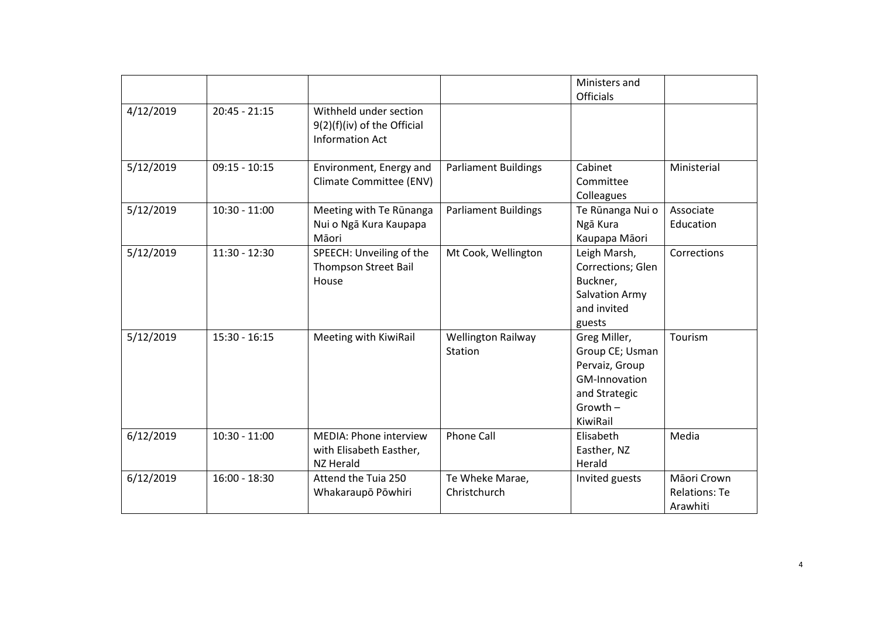|           |                 |                                                                                 |                                      | Ministers and<br>Officials                                                                                    |                                                 |
|-----------|-----------------|---------------------------------------------------------------------------------|--------------------------------------|---------------------------------------------------------------------------------------------------------------|-------------------------------------------------|
| 4/12/2019 | $20:45 - 21:15$ | Withheld under section<br>9(2)(f)(iv) of the Official<br><b>Information Act</b> |                                      |                                                                                                               |                                                 |
| 5/12/2019 | $09:15 - 10:15$ | Environment, Energy and<br>Climate Committee (ENV)                              | <b>Parliament Buildings</b>          | Cabinet<br>Committee<br>Colleagues                                                                            | Ministerial                                     |
| 5/12/2019 | $10:30 - 11:00$ | Meeting with Te Rūnanga<br>Nui o Ngā Kura Kaupapa<br>Māori                      | <b>Parliament Buildings</b>          | Te Rūnanga Nui o<br>Ngā Kura<br>Kaupapa Māori                                                                 | Associate<br>Education                          |
| 5/12/2019 | $11:30 - 12:30$ | SPEECH: Unveiling of the<br><b>Thompson Street Bail</b><br>House                | Mt Cook, Wellington                  | Leigh Marsh,<br>Corrections; Glen<br>Buckner,<br><b>Salvation Army</b><br>and invited<br>guests               | Corrections                                     |
| 5/12/2019 | $15:30 - 16:15$ | Meeting with KiwiRail                                                           | <b>Wellington Railway</b><br>Station | Greg Miller,<br>Group CE; Usman<br>Pervaiz, Group<br>GM-Innovation<br>and Strategic<br>$Growth -$<br>KiwiRail | Tourism                                         |
| 6/12/2019 | $10:30 - 11:00$ | <b>MEDIA: Phone interview</b><br>with Elisabeth Easther,<br>NZ Herald           | <b>Phone Call</b>                    | Elisabeth<br>Easther, NZ<br>Herald                                                                            | Media                                           |
| 6/12/2019 | $16:00 - 18:30$ | Attend the Tuia 250<br>Whakaraupō Pōwhiri                                       | Te Wheke Marae,<br>Christchurch      | Invited guests                                                                                                | Māori Crown<br><b>Relations: Te</b><br>Arawhiti |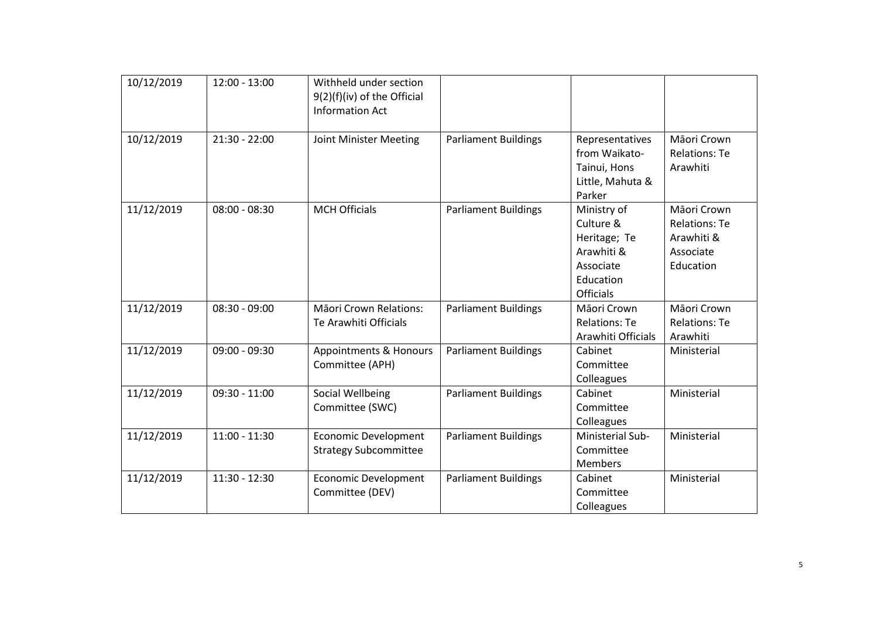| 10/12/2019 | $12:00 - 13:00$ | Withheld under section<br>9(2)(f)(iv) of the Official<br><b>Information Act</b> |                             |                                                                                                      |                                                                             |
|------------|-----------------|---------------------------------------------------------------------------------|-----------------------------|------------------------------------------------------------------------------------------------------|-----------------------------------------------------------------------------|
| 10/12/2019 | $21:30 - 22:00$ | Joint Minister Meeting                                                          | <b>Parliament Buildings</b> | Representatives<br>from Waikato-<br>Tainui, Hons<br>Little, Mahuta &<br>Parker                       | Māori Crown<br><b>Relations: Te</b><br>Arawhiti                             |
| 11/12/2019 | $08:00 - 08:30$ | <b>MCH Officials</b>                                                            | <b>Parliament Buildings</b> | Ministry of<br>Culture &<br>Heritage; Te<br>Arawhiti &<br>Associate<br>Education<br><b>Officials</b> | Māori Crown<br><b>Relations: Te</b><br>Arawhiti &<br>Associate<br>Education |
| 11/12/2019 | $08:30 - 09:00$ | Māori Crown Relations:<br>Te Arawhiti Officials                                 | <b>Parliament Buildings</b> | Māori Crown<br><b>Relations: Te</b><br>Arawhiti Officials                                            | Māori Crown<br><b>Relations: Te</b><br>Arawhiti                             |
| 11/12/2019 | 09:00 - 09:30   | Appointments & Honours<br>Committee (APH)                                       | <b>Parliament Buildings</b> | Cabinet<br>Committee<br>Colleagues                                                                   | Ministerial                                                                 |
| 11/12/2019 | $09:30 - 11:00$ | Social Wellbeing<br>Committee (SWC)                                             | <b>Parliament Buildings</b> | Cabinet<br>Committee<br>Colleagues                                                                   | Ministerial                                                                 |
| 11/12/2019 | $11:00 - 11:30$ | <b>Economic Development</b><br><b>Strategy Subcommittee</b>                     | <b>Parliament Buildings</b> | Ministerial Sub-<br>Committee<br><b>Members</b>                                                      | Ministerial                                                                 |
| 11/12/2019 | $11:30 - 12:30$ | <b>Economic Development</b><br>Committee (DEV)                                  | <b>Parliament Buildings</b> | Cabinet<br>Committee<br>Colleagues                                                                   | Ministerial                                                                 |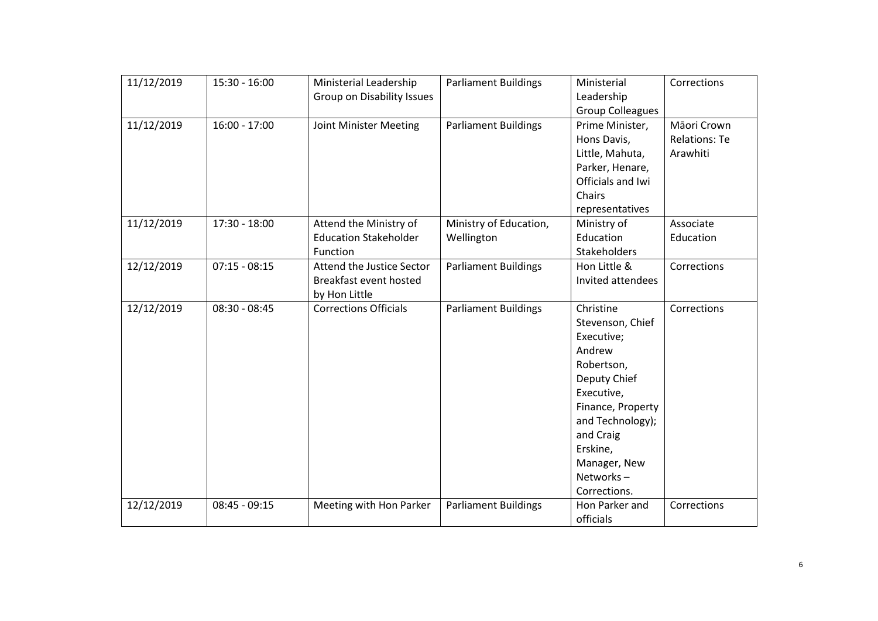| 11/12/2019 | $15:30 - 16:00$ | Ministerial Leadership            | <b>Parliament Buildings</b> | Ministerial             | Corrections          |
|------------|-----------------|-----------------------------------|-----------------------------|-------------------------|----------------------|
|            |                 | <b>Group on Disability Issues</b> |                             | Leadership              |                      |
|            |                 |                                   |                             | <b>Group Colleagues</b> |                      |
| 11/12/2019 | $16:00 - 17:00$ | Joint Minister Meeting            | <b>Parliament Buildings</b> | Prime Minister,         | Māori Crown          |
|            |                 |                                   |                             | Hons Davis,             | <b>Relations: Te</b> |
|            |                 |                                   |                             | Little, Mahuta,         | Arawhiti             |
|            |                 |                                   |                             | Parker, Henare,         |                      |
|            |                 |                                   |                             | Officials and Iwi       |                      |
|            |                 |                                   |                             | Chairs                  |                      |
|            |                 |                                   |                             | representatives         |                      |
| 11/12/2019 | 17:30 - 18:00   | Attend the Ministry of            | Ministry of Education,      | Ministry of             | Associate            |
|            |                 | <b>Education Stakeholder</b>      | Wellington                  | Education               | Education            |
|            |                 | Function                          |                             | Stakeholders            |                      |
| 12/12/2019 | $07:15 - 08:15$ | Attend the Justice Sector         | <b>Parliament Buildings</b> | Hon Little &            | Corrections          |
|            |                 | Breakfast event hosted            |                             | Invited attendees       |                      |
|            |                 | by Hon Little                     |                             |                         |                      |
| 12/12/2019 | $08:30 - 08:45$ | <b>Corrections Officials</b>      | <b>Parliament Buildings</b> | Christine               | Corrections          |
|            |                 |                                   |                             | Stevenson, Chief        |                      |
|            |                 |                                   |                             | Executive;              |                      |
|            |                 |                                   |                             | Andrew                  |                      |
|            |                 |                                   |                             | Robertson,              |                      |
|            |                 |                                   |                             | Deputy Chief            |                      |
|            |                 |                                   |                             | Executive,              |                      |
|            |                 |                                   |                             | Finance, Property       |                      |
|            |                 |                                   |                             | and Technology);        |                      |
|            |                 |                                   |                             | and Craig               |                      |
|            |                 |                                   |                             | Erskine,                |                      |
|            |                 |                                   |                             | Manager, New            |                      |
|            |                 |                                   |                             | Networks-               |                      |
|            |                 |                                   |                             | Corrections.            |                      |
| 12/12/2019 | $08:45 - 09:15$ | Meeting with Hon Parker           | <b>Parliament Buildings</b> | Hon Parker and          | Corrections          |
|            |                 |                                   |                             | officials               |                      |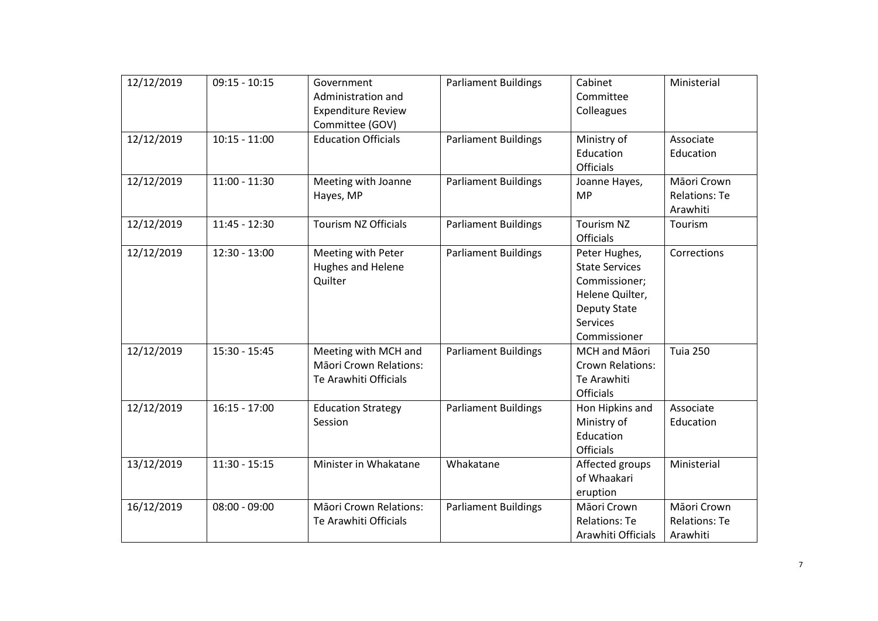| 12/12/2019 | $09:15 - 10:15$ | Government<br>Administration and<br><b>Expenditure Review</b><br>Committee (GOV) | <b>Parliament Buildings</b> | Cabinet<br>Committee<br>Colleagues                                                                                            | Ministerial                                     |
|------------|-----------------|----------------------------------------------------------------------------------|-----------------------------|-------------------------------------------------------------------------------------------------------------------------------|-------------------------------------------------|
| 12/12/2019 | $10:15 - 11:00$ | <b>Education Officials</b>                                                       | <b>Parliament Buildings</b> | Ministry of<br>Education<br><b>Officials</b>                                                                                  | Associate<br>Education                          |
| 12/12/2019 | $11:00 - 11:30$ | Meeting with Joanne<br>Hayes, MP                                                 | <b>Parliament Buildings</b> | Joanne Hayes,<br><b>MP</b>                                                                                                    | Māori Crown<br><b>Relations: Te</b><br>Arawhiti |
| 12/12/2019 | $11:45 - 12:30$ | <b>Tourism NZ Officials</b>                                                      | <b>Parliament Buildings</b> | Tourism NZ<br>Officials                                                                                                       | Tourism                                         |
| 12/12/2019 | $12:30 - 13:00$ | Meeting with Peter<br>Hughes and Helene<br>Quilter                               | <b>Parliament Buildings</b> | Peter Hughes,<br><b>State Services</b><br>Commissioner;<br>Helene Quilter,<br><b>Deputy State</b><br>Services<br>Commissioner | Corrections                                     |
| 12/12/2019 | $15:30 - 15:45$ | Meeting with MCH and<br>Māori Crown Relations:<br>Te Arawhiti Officials          | <b>Parliament Buildings</b> | MCH and Māori<br><b>Crown Relations:</b><br>Te Arawhiti<br><b>Officials</b>                                                   | <b>Tuia 250</b>                                 |
| 12/12/2019 | $16:15 - 17:00$ | <b>Education Strategy</b><br>Session                                             | <b>Parliament Buildings</b> | Hon Hipkins and<br>Ministry of<br>Education<br>Officials                                                                      | Associate<br>Education                          |
| 13/12/2019 | $11:30 - 15:15$ | Minister in Whakatane                                                            | Whakatane                   | Affected groups<br>of Whaakari<br>eruption                                                                                    | Ministerial                                     |
| 16/12/2019 | $08:00 - 09:00$ | <b>Māori Crown Relations:</b><br>Te Arawhiti Officials                           | <b>Parliament Buildings</b> | Māori Crown<br><b>Relations: Te</b><br>Arawhiti Officials                                                                     | Māori Crown<br><b>Relations: Te</b><br>Arawhiti |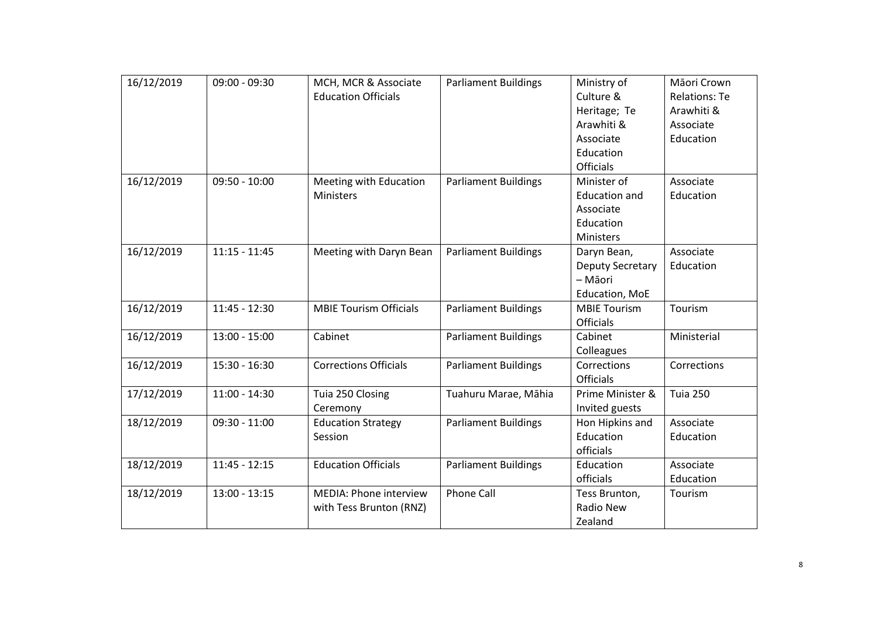| 16/12/2019 | $09:00 - 09:30$ | MCH, MCR & Associate<br><b>Education Officials</b> | <b>Parliament Buildings</b> | Ministry of<br>Culture &<br>Heritage; Te<br>Arawhiti &<br>Associate<br>Education               | Māori Crown<br><b>Relations: Te</b><br>Arawhiti &<br>Associate<br>Education |
|------------|-----------------|----------------------------------------------------|-----------------------------|------------------------------------------------------------------------------------------------|-----------------------------------------------------------------------------|
| 16/12/2019 | $09:50 - 10:00$ | Meeting with Education<br>Ministers                | <b>Parliament Buildings</b> | <b>Officials</b><br>Minister of<br><b>Education and</b><br>Associate<br>Education<br>Ministers | Associate<br>Education                                                      |
| 16/12/2019 | $11:15 - 11:45$ | Meeting with Daryn Bean                            | <b>Parliament Buildings</b> | Daryn Bean,<br><b>Deputy Secretary</b><br>- Māori<br>Education, MoE                            | Associate<br>Education                                                      |
| 16/12/2019 | $11:45 - 12:30$ | <b>MBIE Tourism Officials</b>                      | <b>Parliament Buildings</b> | <b>MBIE Tourism</b><br><b>Officials</b>                                                        | Tourism                                                                     |
| 16/12/2019 | $13:00 - 15:00$ | Cabinet                                            | <b>Parliament Buildings</b> | Cabinet<br>Colleagues                                                                          | Ministerial                                                                 |
| 16/12/2019 | $15:30 - 16:30$ | <b>Corrections Officials</b>                       | <b>Parliament Buildings</b> | Corrections<br><b>Officials</b>                                                                | Corrections                                                                 |
| 17/12/2019 | $11:00 - 14:30$ | Tuia 250 Closing<br>Ceremony                       | Tuahuru Marae, Māhia        | Prime Minister &<br>Invited guests                                                             | <b>Tuia 250</b>                                                             |
| 18/12/2019 | $09:30 - 11:00$ | <b>Education Strategy</b><br>Session               | <b>Parliament Buildings</b> | Hon Hipkins and<br>Education<br>officials                                                      | Associate<br>Education                                                      |
| 18/12/2019 | $11:45 - 12:15$ | <b>Education Officials</b>                         | <b>Parliament Buildings</b> | Education<br>officials                                                                         | Associate<br>Education                                                      |
| 18/12/2019 | $13:00 - 13:15$ | MEDIA: Phone interview<br>with Tess Brunton (RNZ)  | <b>Phone Call</b>           | Tess Brunton,<br>Radio New<br>Zealand                                                          | Tourism                                                                     |